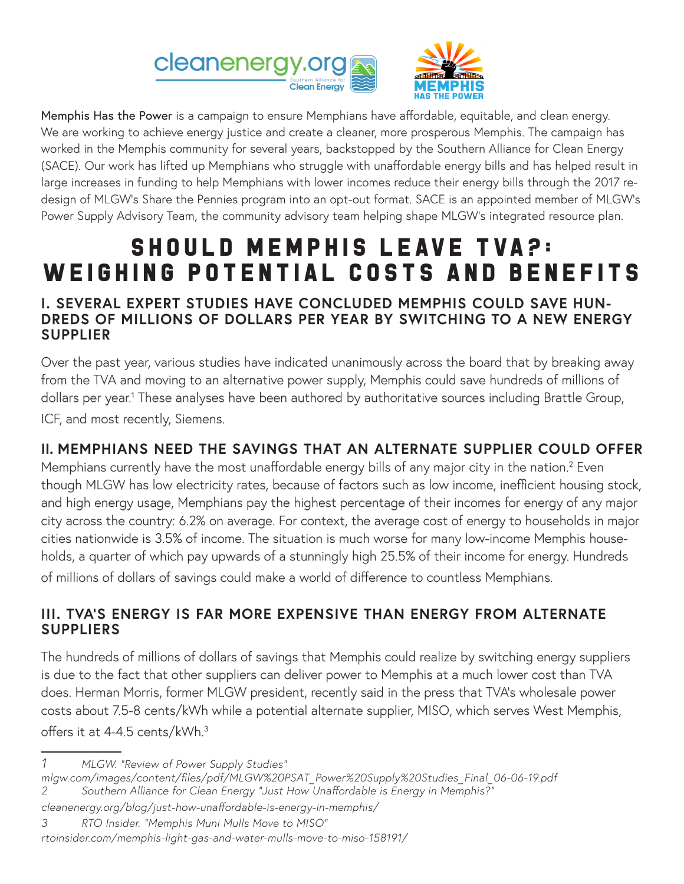



Memphis Has the Power is a campaign to ensure Memphians have affordable, equitable, and clean energy. We are working to achieve energy justice and create a cleaner, more prosperous Memphis. The campaign has worked in the Memphis community for several years, backstopped by the Southern Alliance for Clean Energy (SACE). Our work has lifted up Memphians who struggle with unaffordable energy bills and has helped result in large increases in funding to help Memphians with lower incomes reduce their energy bills through the 2017 redesign of MLGW's Share the Pennies program into an opt-out format. SACE is an appointed member of MLGW's Power Supply Advisory Team, the community advisory team helping shape MLGW's integrated resource plan.

# SHOULD MEMPHIS LEAVE TVA?: Weighing potential Costs and Benefits

#### **I. SEVERAL EXPERT STUDIES HAVE CONCLUDED MEMPHIS COULD SAVE HUN-DREDS OF MILLIONS OF DOLLARS PER YEAR BY SWITCHING TO A NEW ENERGY SUPPLIER**

Over the past year, various studies have indicated unanimously across the board that by breaking away from the TVA and moving to an alternative power supply, Memphis could save hundreds of millions of dollars per year.<sup>1</sup> These analyses have been authored by authoritative sources including Brattle Group, ICF, and most recently, Siemens.

## **II. MEMPHIANS NEED THE SAVINGS THAT AN ALTERNATE SUPPLIER COULD OFFER**

Memphians currently have the most unaffordable energy bills of any major city in the nation.<sup>2</sup> Even though MLGW has low electricity rates, because of factors such as low income, inefficient housing stock, and high energy usage, Memphians pay the highest percentage of their incomes for energy of any major city across the country: 6.2% on average. For context, the average cost of energy to households in major cities nationwide is 3.5% of income. The situation is much worse for many low-income Memphis households, a quarter of which pay upwards of a stunningly high 25.5% of their income for energy. Hundreds of millions of dollars of savings could make a world of difference to countless Memphians.

## **III. TVA'S ENERGY IS FAR MORE EXPENSIVE THAN ENERGY FROM ALTERNATE SUPPLIERS**

The hundreds of millions of dollars of savings that Memphis could realize by switching energy suppliers is due to the fact that other suppliers can deliver power to Memphis at a much lower cost than TVA does. Herman Morris, former MLGW president, recently said in the press that TVA's wholesale power costs about 7.5-8 cents/kWh while a potential alternate supplier, MISO, which serves West Memphis, offers it at 4-4.5 cents/kWh.3

- *mlgw.com/images/content/files/pdf/MLGW%20PSAT\_Power%20Supply%20Studies\_Final\_06-06-19.pdf 2 Southern Alliance for Clean Energy "Just How Unaffordable is Energy in Memphis?"*
- *cleanenergy.org/blog/just-how-unaffordable-is-energy-in-memphis/*

*3 RTO Insider. "Memphis Muni Mulls Move to MISO"* 

```
rtoinsider.com/memphis-light-gas-and-water-mulls-move-to-miso-158191/
```
*<sup>1</sup> MLGW. "Review of Power Supply Studies"*